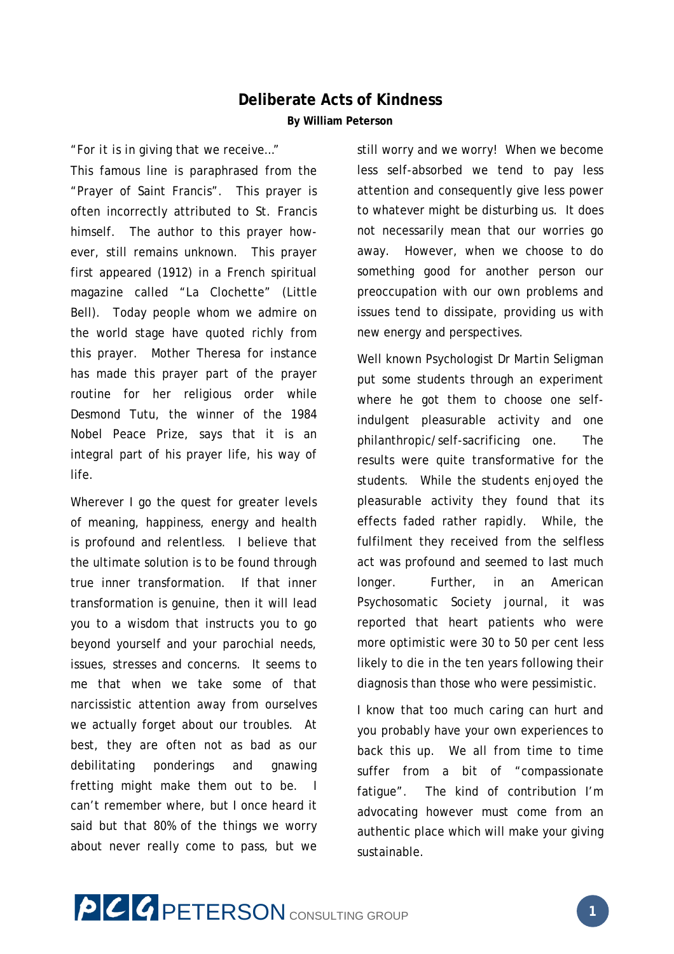## **Deliberate Acts of Kindness By William Peterson**

## "*For it is in giving that we receive…*"

This famous line is paraphrased from the "Prayer of Saint Francis". This prayer is often incorrectly attributed to St. Francis himself. The author to this prayer however, still remains unknown. This prayer first appeared (1912) in a French spiritual magazine called "La Clochette" (Little Bell). Today people whom we admire on the world stage have quoted richly from this prayer. Mother Theresa for instance has made this prayer part of the prayer routine for her religious order while Desmond Tutu, the winner of the 1984 Nobel Peace Prize, says that it is an integral part of his prayer life, his way of life.

Wherever I go the quest for greater levels of meaning, happiness, energy and health is profound and relentless. I believe that the ultimate solution is to be found through true inner transformation. If that inner transformation is genuine, then it will lead you to a wisdom that instructs you to go beyond yourself and your parochial needs, issues, stresses and concerns. It seems to me that when we take some of that narcissistic attention away from ourselves we actually forget about our troubles. At best, they are often not as bad as our debilitating ponderings and gnawing fretting might make them out to be. I can't remember where, but I once heard it said but that 80% of the things we worry about never really come to pass, but we

still worry and we worry! When we become less self-absorbed we tend to pay less attention and consequently give less power to whatever might be disturbing us. It does not necessarily mean that our worries go away. However, when we choose to do something good for another person our preoccupation with our own problems and issues tend to dissipate, providing us with new energy and perspectives.

Well known Psychologist Dr Martin Seligman put some students through an experiment where he got them to choose one selfindulgent pleasurable activity and one philanthropic/self-sacrificing one. The results were quite transformative for the students. While the students enjoyed the pleasurable activity they found that its effects faded rather rapidly. While, the fulfilment they received from the selfless act was profound and seemed to last much longer. Further, in an American Psychosomatic Society journal, it was reported that heart patients who were more optimistic were 30 to 50 per cent less likely to die in the ten years following their diagnosis than those who were pessimistic.

I know that too much caring can hurt and you probably have your own experiences to back this up. We all from time to time suffer from a bit of "compassionate fatigue". The kind of contribution I'm advocating however must come from an authentic place which will make your giving sustainable.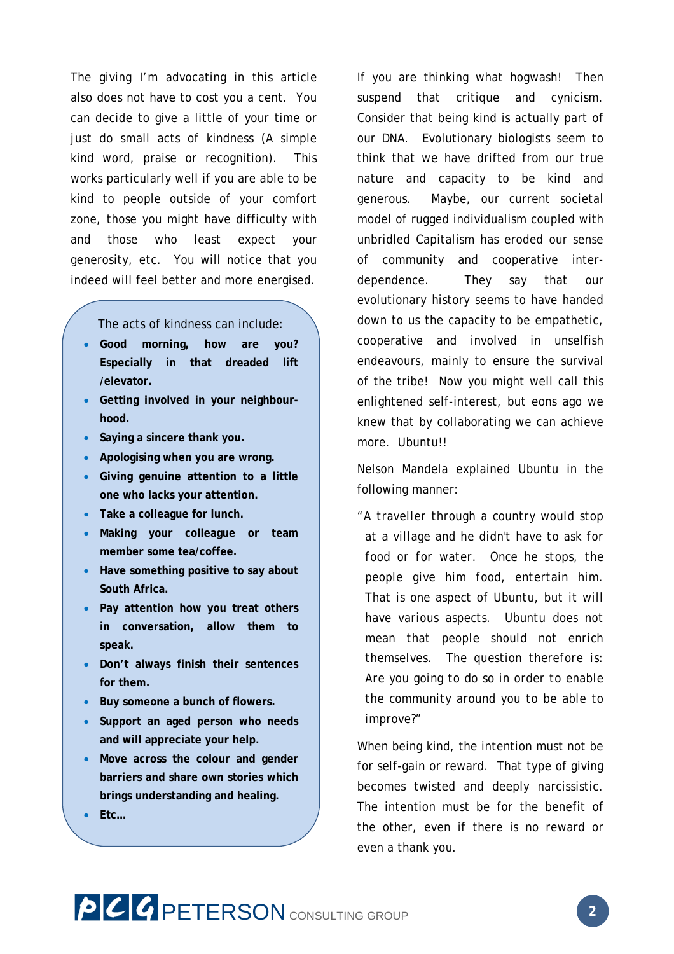The giving I'm advocating in this article also does not have to cost you a cent. You can decide to give a little of your time or just do small acts of kindness (A simple kind word, praise or recognition). This works particularly well if you are able to be kind to people outside of your comfort zone, those you might have difficulty with and those who least expect your generosity, etc. You will notice that you indeed will feel better and more energised.

The acts of kindness can include:

- **Good morning, how are you? Especially in that dreaded lift /elevator.**
- **Getting involved in your neighbourhood.**
- **Saying a sincere thank you.**
- **Apologising when you are wrong.**
- **Giving genuine attention to a little one who lacks your attention.**
- **Take a colleague for lunch.**
- **Making your colleague or team member some tea/coffee.**
- **Have something positive to say about South Africa.**
- **Pay attention how you treat others in conversation, allow them to speak.**
- **Don't always finish their sentences for them.**
- **Buy someone a bunch of flowers.**
- **Support an aged person who needs and will appreciate your help.**
- **Move across the colour and gender barriers and share own stories which brings understanding and healing.**
- **Etc…**

If you are thinking what hogwash! Then suspend that critique and cynicism. Consider that being kind is actually part of our DNA. Evolutionary biologists seem to think that we have drifted from our true nature and capacity to be kind and generous. Maybe, our current societal model of rugged individualism coupled with unbridled Capitalism has eroded our sense of community and cooperative interdependence. They say that our evolutionary history seems to have handed down to us the capacity to be empathetic, cooperative and involved in unselfish endeavours, mainly to ensure the survival of the tribe! Now you might well call this enlightened self-interest, but eons ago we knew that by collaborating we can achieve more. Ubuntu!!

Nelson Mandela explained Ubuntu in the following manner:

*"A traveller through a country would stop at a village and he didn't have to ask for food or for water. Once he stops, the people give him food, entertain him. That is one aspect of Ubuntu, but it will have various aspects. Ubuntu does not mean that people should not enrich themselves. The question therefore is: Are you going to do so in order to enable the community around you to be able to improve?"*

When being kind, the intention must not be for self-gain or reward. That type of giving becomes twisted and deeply narcissistic. The intention must be for the benefit of the other, even if there is no reward or even a thank you.

## **PCC PETERSON** CONSULTING GROUP